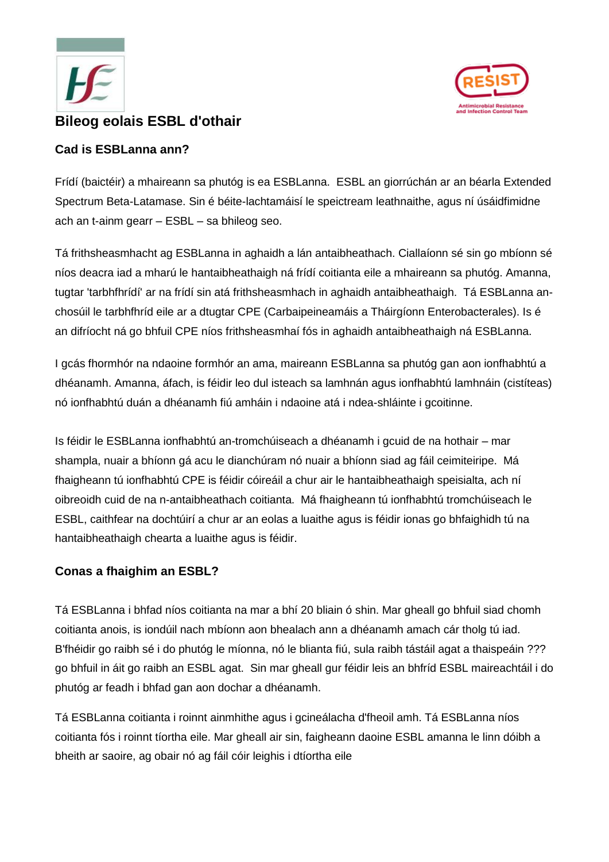



# **Bileog eolais ESBL d'othair**

#### **Cad is ESBLanna ann?**

Frídí (baictéir) a mhaireann sa phutóg is ea ESBLanna. ESBL an giorrúchán ar an béarla Extended Spectrum Beta-Latamase. Sin é béite-lachtamáisí le speictream leathnaithe, agus ní úsáidfimidne ach an t-ainm gearr – ESBL – sa bhileog seo.

Tá frithsheasmhacht ag ESBLanna in aghaidh a lán antaibheathach. Ciallaíonn sé sin go mbíonn sé níos deacra iad a mharú le hantaibheathaigh ná frídí coitianta eile a mhaireann sa phutóg. Amanna, tugtar 'tarbhfhrídí' ar na frídí sin atá frithsheasmhach in aghaidh antaibheathaigh. Tá ESBLanna anchosúil le tarbhfhríd eile ar a dtugtar CPE (Carbaipeineamáis a Tháirgíonn Enterobacterales). Is é an difríocht ná go bhfuil CPE níos frithsheasmhaí fós in aghaidh antaibheathaigh ná ESBLanna.

I gcás fhormhór na ndaoine formhór an ama, maireann ESBLanna sa phutóg gan aon ionfhabhtú a dhéanamh. Amanna, áfach, is féidir leo dul isteach sa lamhnán agus ionfhabhtú lamhnáin (cistíteas) nó ionfhabhtú duán a dhéanamh fiú amháin i ndaoine atá i ndea-shláinte i gcoitinne.

Is féidir le ESBLanna ionfhabhtú an-tromchúiseach a dhéanamh i gcuid de na hothair – mar shampla, nuair a bhíonn gá acu le dianchúram nó nuair a bhíonn siad ag fáil ceimiteiripe. Má fhaigheann tú ionfhabhtú CPE is féidir cóireáil a chur air le hantaibheathaigh speisialta, ach ní oibreoidh cuid de na n-antaibheathach coitianta. Má fhaigheann tú ionfhabhtú tromchúiseach le ESBL, caithfear na dochtúirí a chur ar an eolas a luaithe agus is féidir ionas go bhfaighidh tú na hantaibheathaigh chearta a luaithe agus is féidir.

# **Conas a fhaighim an ESBL?**

Tá ESBLanna i bhfad níos coitianta na mar a bhí 20 bliain ó shin. Mar gheall go bhfuil siad chomh coitianta anois, is iondúil nach mbíonn aon bhealach ann a dhéanamh amach cár tholg tú iad. B'fhéidir go raibh sé i do phutóg le míonna, nó le blianta fiú, sula raibh tástáil agat a thaispeáin ??? go bhfuil in áit go raibh an ESBL agat. Sin mar gheall gur féidir leis an bhfríd ESBL maireachtáil i do phutóg ar feadh i bhfad gan aon dochar a dhéanamh.

Tá ESBLanna coitianta i roinnt ainmhithe agus i gcineálacha d'fheoil amh. Tá ESBLanna níos coitianta fós i roinnt tíortha eile. Mar gheall air sin, faigheann daoine ESBL amanna le linn dóibh a bheith ar saoire, ag obair nó ag fáil cóir leighis i dtíortha eile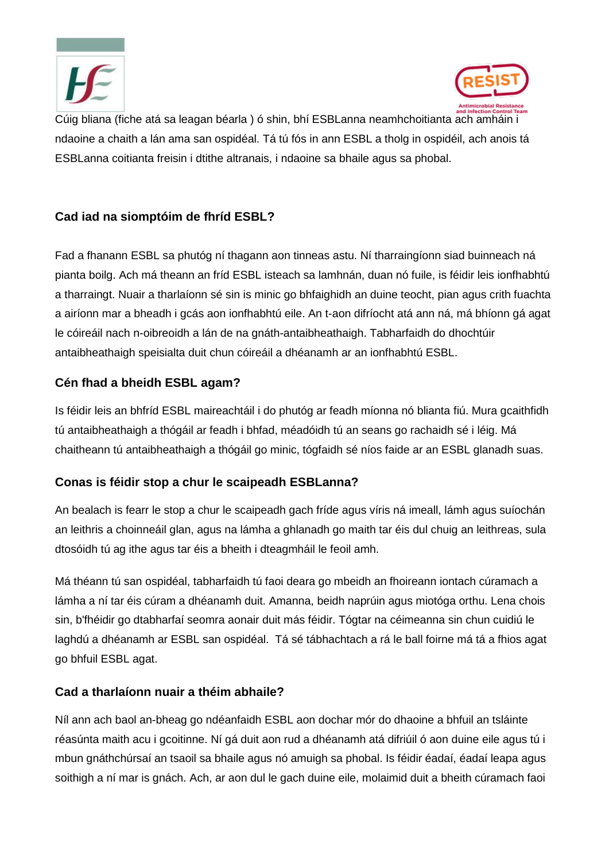



Cúig bliana (fiche atá sa leagan béarla ) ó shin, bhí ESBLanna neamhchoitianta ach amháin i ndaoine a chaith a lán ama san ospidéal. Tá tú fós in ann ESBL a tholg in ospidéil, ach anois tá ESBLanna coitianta freisin i dtithe altranais, i ndaoine sa bhaile agus sa phobal.

# **Cad iad na siomptóim de fhríd ESBL?**

Fad a fhanann ESBL sa phutóg ní thagann aon tinneas astu. Ní tharraingíonn siad buinneach ná pianta boilg. Ach má theann an fríd ESBL isteach sa lamhnán, duan nó fuile, is féidir leis ionfhabhtú a tharraingt. Nuair a tharlaíonn sé sin is minic go bhfaighidh an duine teocht, pian agus crith fuachta a airíonn mar a bheadh i gcás aon ionfhabhtú eile. An t-aon difríocht atá ann ná, má bhíonn gá agat le cóireáil nach n-oibreoidh a lán de na gnáth-antaibheathaigh. Tabharfaidh do dhochtúir antaibheathaigh speisialta duit chun cóireáil a dhéanamh ar an ionfhabhtú ESBL.

#### **Cén fhad a bheidh ESBL agam?**

Is féidir leis an bhfríd ESBL maireachtáil i do phutóg ar feadh míonna nó blianta fiú. Mura gcaithfidh tú antaibheathaigh a thógáil ar feadh i bhfad, méadóidh tú an seans go rachaidh sé i léig. Má chaitheann tú antaibheathaigh a thógáil go minic, tógfaidh sé níos faide ar an ESBL glanadh suas.

# **Conas is féidir stop a chur le scaipeadh ESBLanna?**

An bealach is fearr le stop a chur le scaipeadh gach fríde agus víris ná imeall, lámh agus suíochán an leithris a choinneáil glan, agus na lámha a ghlanadh go maith tar éis dul chuig an leithreas, sula dtosóidh tú ag ithe agus tar éis a bheith i dteagmháil le feoil amh.

Má théann tú san ospidéal, tabharfaidh tú faoi deara go mbeidh an fhoireann iontach cúramach a lámha a ní tar éis cúram a dhéanamh duit. Amanna, beidh naprúin agus miotóga orthu. Lena chois sin, b'fhéidir go dtabharfaí seomra aonair duit más féidir. Tógtar na céimeanna sin chun cuidiú le laghdú a dhéanamh ar ESBL san ospidéal. Tá sé tábhachtach a rá le ball foirne má tá a fhios agat go bhfuil ESBL agat.

#### **Cad a tharlaíonn nuair a théim abhaile?**

Níl ann ach baol an-bheag go ndéanfaidh ESBL aon dochar mór do dhaoine a bhfuil an tsláinte réasúnta maith acu i gcoitinne. Ní gá duit aon rud a dhéanamh atá difriúil ó aon duine eile agus tú i mbun gnáthchúrsaí an tsaoil sa bhaile agus nó amuigh sa phobal. Is féidir éadaí, éadaí leapa agus soithigh a ní mar is gnách. Ach, ar aon dul le gach duine eile, molaimid duit a bheith cúramach faoi